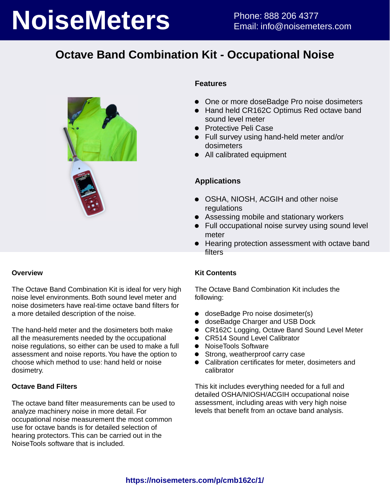# **NoiseMeters** Phone: 888 206 4377

## **Octave Band Combination Kit - Occupational Noise**



### **Overview**

The Octave Band Combination Kit is ideal for very high noise level environments. Both sound level meter and noise dosimeters have real-time octave band filters for a more detailed description of the noise.

The hand-held meter and the dosimeters both make all the measurements needed by the occupational noise regulations, so either can be used to make a full assessment and noise reports. You have the option to choose which method to use: hand held or noise dosimetry.

### **Octave Band Filters**

The octave band filter measurements can be used to analyze machinery noise in more detail. For occupational noise measurement the most common use for octave bands is for detailed selection of hearing protectors. This can be carried out in the NoiseTools software that is included.

### **Features**

- One or more doseBadge Pro noise dosimeters
- Hand held CR162C Optimus Red octave band sound level meter
- **•** Protective Peli Case
- Full survey using hand-held meter and/or dosimeters
- All calibrated equipment

### **Applications**

- OSHA, NIOSH, ACGIH and other noise regulations
- Assessing mobile and stationary workers
- Full occupational noise survey using sound level meter
- Hearing protection assessment with octave band **filters**

### **Kit Contents**

The Octave Band Combination Kit includes the following:

- doseBadge Pro noise dosimeter(s)
- doseBadge Charger and USB Dock
- CR162C Logging, Octave Band Sound Level Meter
- CR514 Sound Level Calibrator
- NoiseTools Software
- Strong, weatherproof carry case
- Calibration certificates for meter, dosimeters and calibrator

This kit includes everything needed for a full and detailed OSHA/NIOSH/ACGIH occupational noise assessment, including areas with very high noise levels that benefit from an octave band analysis.